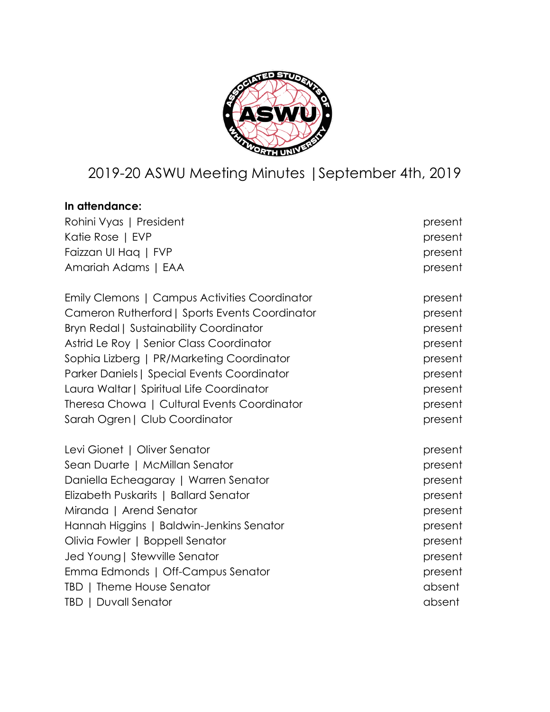

# 2019-20 ASWU Meeting Minutes |September 4th, 2019

| In attendance:                                 |         |
|------------------------------------------------|---------|
| Rohini Vyas   President                        | present |
| Katie Rose   EVP                               | present |
| Faizzan UI Hag   FVP                           | present |
| Amariah Adams   EAA                            | present |
| Emily Clemons   Campus Activities Coordinator  | present |
| Cameron Rutherford   Sports Events Coordinator | present |
| <b>Bryn Redal   Sustainability Coordinator</b> | present |
| Astrid Le Roy   Senior Class Coordinator       | present |
| Sophia Lizberg   PR/Marketing Coordinator      | present |
| Parker Daniels   Special Events Coordinator    | present |
| Laura Waltar   Spiritual Life Coordinator      | present |
| Theresa Chowa   Cultural Events Coordinator    | present |
| Sarah Ogren   Club Coordinator                 | present |
| Levi Gionet   Oliver Senator                   | present |
| Sean Duarte   McMillan Senator                 | present |
| Daniella Echeagaray   Warren Senator           | present |
| Elizabeth Puskarits   Ballard Senator          | present |
| Miranda   Arend Senator                        | present |
| Hannah Higgins   Baldwin-Jenkins Senator       | present |
| Olivia Fowler   Boppell Senator                | present |
| Jed Young   Stewville Senator                  | present |
| Emma Edmonds   Off-Campus Senator              | present |
| TBD   Theme House Senator                      | absent  |
| <b>TBD   Duvall Senator</b>                    | absent  |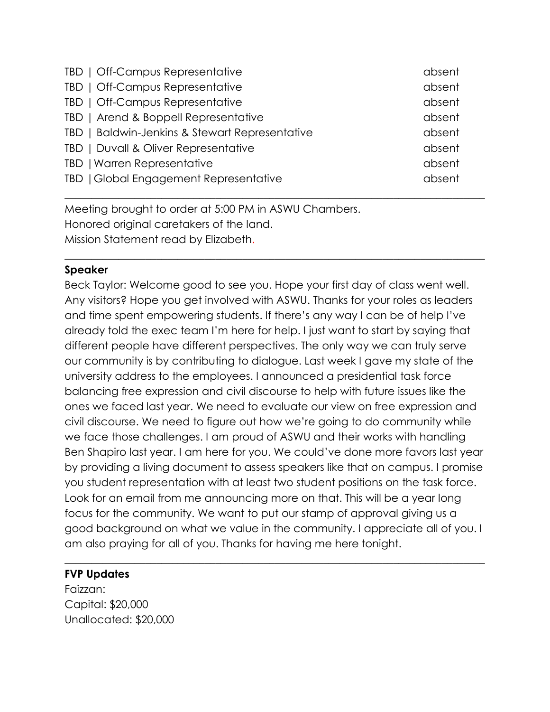| TBD   Off-Campus Representative                | absent |
|------------------------------------------------|--------|
| TBD   Off-Campus Representative                | absent |
| TBD   Off-Campus Representative                | absent |
| TBD   Arend & Boppell Representative           | absent |
| TBD   Baldwin-Jenkins & Stewart Representative | absent |
| TBD   Duvall & Oliver Representative           | absent |
| TBD   Warren Representative                    | absent |
| TBD   Global Engagement Representative         | absent |
|                                                |        |

Meeting brought to order at 5:00 PM in ASWU Chambers. Honored original caretakers of the land. Mission Statement read by Elizabeth.

#### **Speaker**

Beck Taylor: Welcome good to see you. Hope your first day of class went well. Any visitors? Hope you get involved with ASWU. Thanks for your roles as leaders and time spent empowering students. If there's any way I can be of help I've already told the exec team I'm here for help. I just want to start by saying that different people have different perspectives. The only way we can truly serve our community is by contributing to dialogue. Last week I gave my state of the university address to the employees. I announced a presidential task force balancing free expression and civil discourse to help with future issues like the ones we faced last year. We need to evaluate our view on free expression and civil discourse. We need to figure out how we're going to do community while we face those challenges. I am proud of ASWU and their works with handling Ben Shapiro last year. I am here for you. We could've done more favors last year by providing a living document to assess speakers like that on campus. I promise you student representation with at least two student positions on the task force. Look for an email from me announcing more on that. This will be a year long focus for the community. We want to put our stamp of approval giving us a good background on what we value in the community. I appreciate all of you. I am also praying for all of you. Thanks for having me here tonight.

\_\_\_\_\_\_\_\_\_\_\_\_\_\_\_\_\_\_\_\_\_\_\_\_\_\_\_\_\_\_\_\_\_\_\_\_\_\_\_\_\_\_\_\_\_\_\_\_\_\_\_\_\_\_\_\_\_\_\_\_\_\_\_\_\_\_\_\_\_\_\_\_\_\_\_\_\_\_

\_\_\_\_\_\_\_\_\_\_\_\_\_\_\_\_\_\_\_\_\_\_\_\_\_\_\_\_\_\_\_\_\_\_\_\_\_\_\_\_\_\_\_\_\_\_\_\_\_\_\_\_\_\_\_\_\_\_\_\_\_\_\_\_\_\_\_\_\_\_\_\_\_\_\_\_\_\_

#### **FVP Updates**

Faizzan: Capital: \$20,000 Unallocated: \$20,000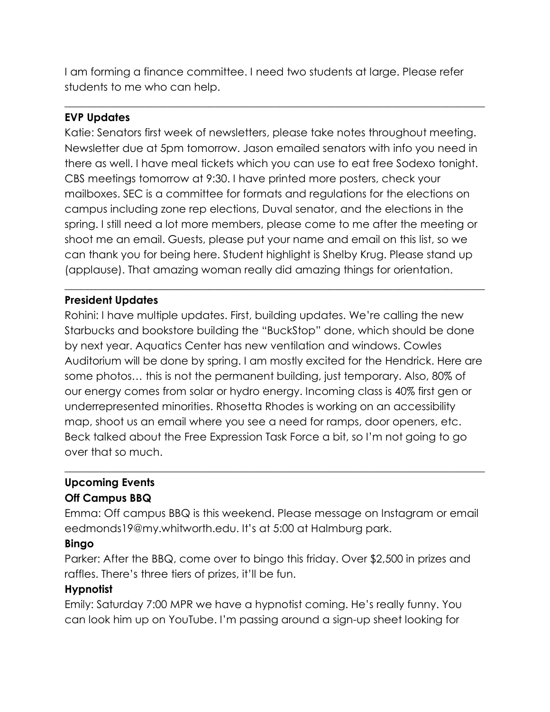I am forming a finance committee. I need two students at large. Please refer students to me who can help.

\_\_\_\_\_\_\_\_\_\_\_\_\_\_\_\_\_\_\_\_\_\_\_\_\_\_\_\_\_\_\_\_\_\_\_\_\_\_\_\_\_\_\_\_\_\_\_\_\_\_\_\_\_\_\_\_\_\_\_\_\_\_\_\_\_\_\_\_\_\_\_\_\_\_\_\_\_\_

## **EVP Updates**

Katie: Senators first week of newsletters, please take notes throughout meeting. Newsletter due at 5pm tomorrow. Jason emailed senators with info you need in there as well. I have meal tickets which you can use to eat free Sodexo tonight. CBS meetings tomorrow at 9:30. I have printed more posters, check your mailboxes. SEC is a committee for formats and regulations for the elections on campus including zone rep elections, Duval senator, and the elections in the spring. I still need a lot more members, please come to me after the meeting or shoot me an email. Guests, please put your name and email on this list, so we can thank you for being here. Student highlight is Shelby Krug. Please stand up (applause). That amazing woman really did amazing things for orientation.

\_\_\_\_\_\_\_\_\_\_\_\_\_\_\_\_\_\_\_\_\_\_\_\_\_\_\_\_\_\_\_\_\_\_\_\_\_\_\_\_\_\_\_\_\_\_\_\_\_\_\_\_\_\_\_\_\_\_\_\_\_\_\_\_\_\_\_\_\_\_\_\_\_\_\_\_\_\_

#### **President Updates**

Rohini: I have multiple updates. First, building updates. We're calling the new Starbucks and bookstore building the "BuckStop" done, which should be done by next year. Aquatics Center has new ventilation and windows. Cowles Auditorium will be done by spring. I am mostly excited for the Hendrick. Here are some photos… this is not the permanent building, just temporary. Also, 80% of our energy comes from solar or hydro energy. Incoming class is 40% first gen or underrepresented minorities. Rhosetta Rhodes is working on an accessibility map, shoot us an email where you see a need for ramps, door openers, etc. Beck talked about the Free Expression Task Force a bit, so I'm not going to go over that so much.

#### **Upcoming Events Off Campus BBQ**

Emma: Off campus BBQ is this weekend. Please message on Instagram or email eedmonds19@my.whitworth.edu. It's at 5:00 at Halmburg park.

\_\_\_\_\_\_\_\_\_\_\_\_\_\_\_\_\_\_\_\_\_\_\_\_\_\_\_\_\_\_\_\_\_\_\_\_\_\_\_\_\_\_\_\_\_\_\_\_\_\_\_\_\_\_\_\_\_\_\_\_\_\_\_\_\_\_\_\_\_\_\_\_\_\_\_\_\_\_

#### **Bingo**

Parker: After the BBQ, come over to bingo this friday. Over \$2,500 in prizes and raffles. There's three tiers of prizes, it'll be fun.

#### **Hypnotist**

Emily: Saturday 7:00 MPR we have a hypnotist coming. He's really funny. You can look him up on YouTube. I'm passing around a sign-up sheet looking for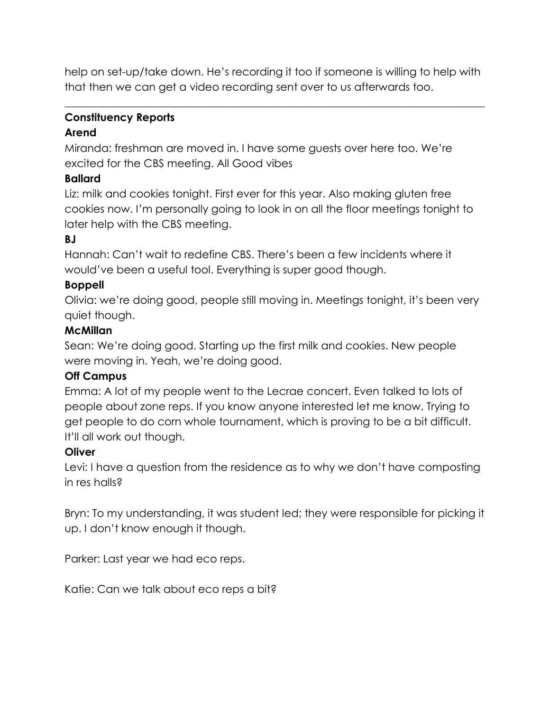help on set-up/take down. He's recording it too if someone is willing to help with that then we can get a video recording sent over to us afterwards too.

\_\_\_\_\_\_\_\_\_\_\_\_\_\_\_\_\_\_\_\_\_\_\_\_\_\_\_\_\_\_\_\_\_\_\_\_\_\_\_\_\_\_\_\_\_\_\_\_\_\_\_\_\_\_\_\_\_\_\_\_\_\_\_\_\_\_\_\_\_\_\_\_\_\_\_\_\_\_

# **Constituency Reports**

## **Arend**

Miranda: freshman are moved in. I have some guests over here too. We're excited for the CBS meeting. All Good vibes

# **Ballard**

Liz: milk and cookies tonight. First ever for this year. Also making gluten free cookies now. I'm personally going to look in on all the floor meetings tonight to later help with the CBS meeting.

# **BJ**

Hannah: Can't wait to redefine CBS. There's been a few incidents where it would've been a useful tool. Everything is super good though.

# **Boppell**

Olivia: we're doing good, people still moving in. Meetings tonight, it's been very quiet though.

# **McMillan**

Sean: We're doing good. Starting up the first milk and cookies. New people were moving in. Yeah, we're doing good.

# **Off Campus**

Emma: A lot of my people went to the Lecrae concert. Even talked to lots of people about zone reps. If you know anyone interested let me know. Trying to get people to do corn whole tournament, which is proving to be a bit difficult. It'll all work out though.

# **Oliver**

Levi: I have a question from the residence as to why we don't have composting in res halls?

Bryn: To my understanding, it was student led; they were responsible for picking it up. I don't know enough it though.

Parker: Last year we had eco reps.

Katie: Can we talk about eco reps a bit?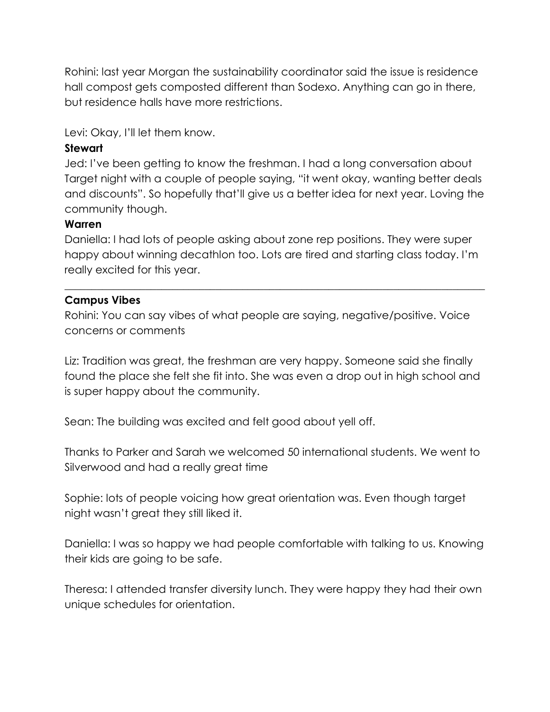Rohini: last year Morgan the sustainability coordinator said the issue is residence hall compost gets composted different than Sodexo. Anything can go in there, but residence halls have more restrictions.

Levi: Okay, I'll let them know.

## **Stewart**

Jed: I've been getting to know the freshman. I had a long conversation about Target night with a couple of people saying, "it went okay, wanting better deals and discounts". So hopefully that'll give us a better idea for next year. Loving the community though.

#### **Warren**

Daniella: I had lots of people asking about zone rep positions. They were super happy about winning decathlon too. Lots are tired and starting class today. I'm really excited for this year.

\_\_\_\_\_\_\_\_\_\_\_\_\_\_\_\_\_\_\_\_\_\_\_\_\_\_\_\_\_\_\_\_\_\_\_\_\_\_\_\_\_\_\_\_\_\_\_\_\_\_\_\_\_\_\_\_\_\_\_\_\_\_\_\_\_\_\_\_\_\_\_\_\_\_\_\_\_\_

## **Campus Vibes**

Rohini: You can say vibes of what people are saying, negative/positive. Voice concerns or comments

Liz: Tradition was great, the freshman are very happy. Someone said she finally found the place she felt she fit into. She was even a drop out in high school and is super happy about the community.

Sean: The building was excited and felt good about yell off.

Thanks to Parker and Sarah we welcomed 50 international students. We went to Silverwood and had a really great time

Sophie: lots of people voicing how great orientation was. Even though target night wasn't great they still liked it.

Daniella: I was so happy we had people comfortable with talking to us. Knowing their kids are going to be safe.

Theresa: I attended transfer diversity lunch. They were happy they had their own unique schedules for orientation.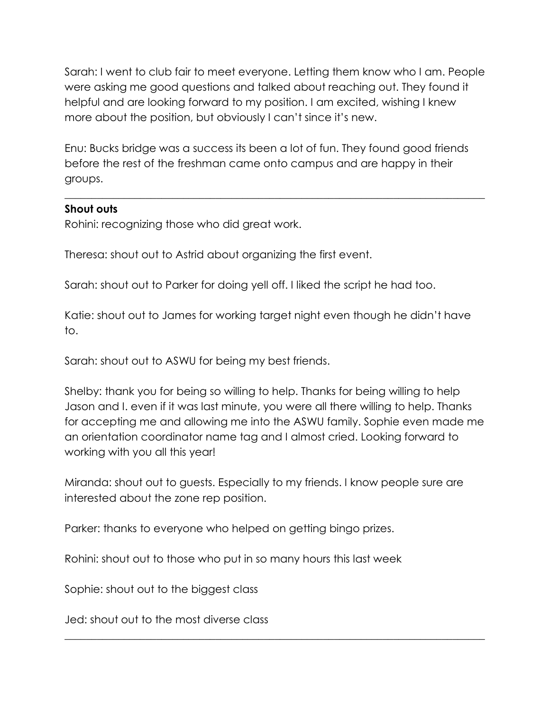Sarah: I went to club fair to meet everyone. Letting them know who I am. People were asking me good questions and talked about reaching out. They found it helpful and are looking forward to my position. I am excited, wishing I knew more about the position, but obviously I can't since it's new.

Enu: Bucks bridge was a success its been a lot of fun. They found good friends before the rest of the freshman came onto campus and are happy in their groups.

\_\_\_\_\_\_\_\_\_\_\_\_\_\_\_\_\_\_\_\_\_\_\_\_\_\_\_\_\_\_\_\_\_\_\_\_\_\_\_\_\_\_\_\_\_\_\_\_\_\_\_\_\_\_\_\_\_\_\_\_\_\_\_\_\_\_\_\_\_\_\_\_\_\_\_\_\_\_

#### **Shout outs**

Rohini: recognizing those who did great work.

Theresa: shout out to Astrid about organizing the first event.

Sarah: shout out to Parker for doing yell off. I liked the script he had too.

Katie: shout out to James for working target night even though he didn't have to.

Sarah: shout out to ASWU for being my best friends.

Shelby: thank you for being so willing to help. Thanks for being willing to help Jason and I. even if it was last minute, you were all there willing to help. Thanks for accepting me and allowing me into the ASWU family. Sophie even made me an orientation coordinator name tag and I almost cried. Looking forward to working with you all this year!

Miranda: shout out to guests. Especially to my friends. I know people sure are interested about the zone rep position.

\_\_\_\_\_\_\_\_\_\_\_\_\_\_\_\_\_\_\_\_\_\_\_\_\_\_\_\_\_\_\_\_\_\_\_\_\_\_\_\_\_\_\_\_\_\_\_\_\_\_\_\_\_\_\_\_\_\_\_\_\_\_\_\_\_\_\_\_\_\_\_\_\_\_\_\_\_\_

Parker: thanks to everyone who helped on getting bingo prizes.

Rohini: shout out to those who put in so many hours this last week

Sophie: shout out to the biggest class

Jed: shout out to the most diverse class